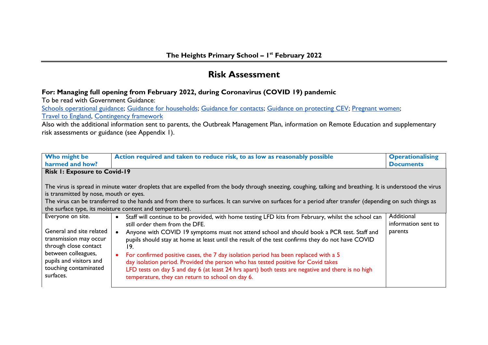## **Risk Assessment**

## **For: Managing full opening from February 2022, during Coronavirus (COVID 19) pandemic**

To be read with Government Guidance:

[Schools operational guidance;](https://www.gov.uk/government/publications/actions-for-schools-during-the-coronavirus-outbreak/schools-covid-19-operational-guidance) [Guidance for households;](https://www.gov.uk/government/publications/covid-19-stay-at-home-guidance/stay-at-home-guidance-for-households-with-possible-coronavirus-covid-19-infection) [Guidance for contacts;](https://www.gov.uk/government/publications/guidance-for-contacts-of-people-with-possible-or-confirmed-coronavirus-covid-19-infection-who-do-not-live-with-the-person/guidance-for-contacts-of-people-with-possible-or-confirmed-coronavirus-covid-19-infection-who-do-not-live-with-the-person) [Guidance on protecting CEV;](https://www.gov.uk/government/publications/guidance-on-shielding-and-protecting-extremely-vulnerable-persons-from-covid-19/guidance-on-shielding-and-protecting-extremely-vulnerable-persons-from-covid-19) [Pregnant women;](https://www.gov.uk/government/publications/coronavirus-covid-19-advice-for-pregnant-employees/coronavirus-covid-19-advice-for-pregnant-employees) [Travel to England,](https://www.gov.uk/guidance/travel-to-england-from-another-country-during-coronavirus-covid-19) [Contingency framework](https://www.gov.uk/government/publications/coronavirus-covid-19-local-restrictions-in-education-and-childcare-settings?utm_source=18%20August%202021%20C19&utm_medium=Daily%20Email%20C19&utm_campaign=DfE%20C19)

Also with the additional information sent to parents, the Outbreak Management Plan, information on Remote Education and supplementary risk assessments or guidance (see Appendix 1).

| Who might be<br>harmed and how?                                                                                                                                                                                                                                                                                                                                                                                               | Action required and taken to reduce risk, to as low as reasonably possible                                                                                                                                                                                                                                                                                                                                                                                                                                                                                                                                                                                                          | <b>Operationalising</b><br><b>Documents</b>  |
|-------------------------------------------------------------------------------------------------------------------------------------------------------------------------------------------------------------------------------------------------------------------------------------------------------------------------------------------------------------------------------------------------------------------------------|-------------------------------------------------------------------------------------------------------------------------------------------------------------------------------------------------------------------------------------------------------------------------------------------------------------------------------------------------------------------------------------------------------------------------------------------------------------------------------------------------------------------------------------------------------------------------------------------------------------------------------------------------------------------------------------|----------------------------------------------|
|                                                                                                                                                                                                                                                                                                                                                                                                                               |                                                                                                                                                                                                                                                                                                                                                                                                                                                                                                                                                                                                                                                                                     |                                              |
| <b>Risk I: Exposure to Covid-19</b>                                                                                                                                                                                                                                                                                                                                                                                           |                                                                                                                                                                                                                                                                                                                                                                                                                                                                                                                                                                                                                                                                                     |                                              |
| The virus is spread in minute water droplets that are expelled from the body through sneezing, coughing, talking and breathing. It is understood the virus<br>is transmitted by nose, mouth or eyes.<br>The virus can be transferred to the hands and from there to surfaces. It can survive on surfaces for a period after transfer (depending on such things as<br>the surface type, its moisture content and temperature). |                                                                                                                                                                                                                                                                                                                                                                                                                                                                                                                                                                                                                                                                                     |                                              |
| Everyone on site.<br>General and site related<br>transmission may occur<br>through close contact<br>between colleagues,<br>pupils and visitors and<br>touching contaminated<br>surfaces.                                                                                                                                                                                                                                      | Staff will continue to be provided, with home testing LFD kits from February, whilst the school can<br>still order them from the DFE.<br>Anyone with COVID 19 symptoms must not attend school and should book a PCR test. Staff and<br>pupils should stay at home at least until the result of the test confirms they do not have COVID<br>19.<br>For confirmed positive cases, the 7 day isolation period has been replaced with a 5<br>day isolation period. Provided the person who has tested positive for Covid takes<br>LFD tests on day 5 and day 6 (at least 24 hrs apart) both tests are negative and there is no high<br>temperature, they can return to school on day 6. | Additional<br>information sent to<br>parents |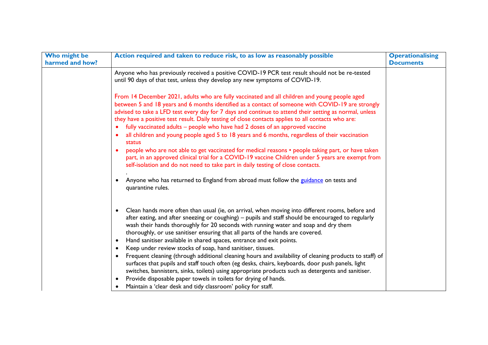| Who might be    | Action required and taken to reduce risk, to as low as reasonably possible                                                                                                                                                                                                                                                                                                                                                                                                                                                                                                                                                                                                                                                                                                                                                                                                                                                                          | <b>Operationalising</b> |
|-----------------|-----------------------------------------------------------------------------------------------------------------------------------------------------------------------------------------------------------------------------------------------------------------------------------------------------------------------------------------------------------------------------------------------------------------------------------------------------------------------------------------------------------------------------------------------------------------------------------------------------------------------------------------------------------------------------------------------------------------------------------------------------------------------------------------------------------------------------------------------------------------------------------------------------------------------------------------------------|-------------------------|
| harmed and how? |                                                                                                                                                                                                                                                                                                                                                                                                                                                                                                                                                                                                                                                                                                                                                                                                                                                                                                                                                     | <b>Documents</b>        |
|                 | Anyone who has previously received a positive COVID-19 PCR test result should not be re-tested<br>until 90 days of that test, unless they develop any new symptoms of COVID-19.                                                                                                                                                                                                                                                                                                                                                                                                                                                                                                                                                                                                                                                                                                                                                                     |                         |
|                 | From 14 December 2021, adults who are fully vaccinated and all children and young people aged<br>between 5 and 18 years and 6 months identified as a contact of someone with COVID-19 are strongly<br>advised to take a LFD test every day for 7 days and continue to attend their setting as normal, unless<br>they have a positive test result. Daily testing of close contacts applies to all contacts who are:<br>fully vaccinated adults – people who have had 2 doses of an approved vaccine<br>$\bullet$<br>all children and young people aged 5 to 18 years and 6 months, regardless of their vaccination<br>status<br>people who are not able to get vaccinated for medical reasons • people taking part, or have taken<br>part, in an approved clinical trial for a COVID-19 vaccine Children under 5 years are exempt from<br>self-isolation and do not need to take part in daily testing of close contacts.                            |                         |
|                 | Anyone who has returned to England from abroad must follow the guidance on tests and<br>quarantine rules.                                                                                                                                                                                                                                                                                                                                                                                                                                                                                                                                                                                                                                                                                                                                                                                                                                           |                         |
|                 | Clean hands more often than usual (ie, on arrival, when moving into different rooms, before and<br>$\bullet$<br>after eating, and after sneezing or coughing) - pupils and staff should be encouraged to regularly<br>wash their hands thoroughly for 20 seconds with running water and soap and dry them<br>thoroughly, or use sanitiser ensuring that all parts of the hands are covered.<br>Hand sanitiser available in shared spaces, entrance and exit points.<br>Keep under review stocks of soap, hand sanitiser, tissues.<br>$\bullet$<br>Frequent cleaning (through additional cleaning hours and availability of cleaning products to staff) of<br>$\bullet$<br>surfaces that pupils and staff touch often (eg desks, chairs, keyboards, door push panels, light<br>switches, bannisters, sinks, toilets) using appropriate products such as detergents and sanitiser.<br>Provide disposable paper towels in toilets for drying of hands. |                         |
|                 | Maintain a 'clear desk and tidy classroom' policy for staff.                                                                                                                                                                                                                                                                                                                                                                                                                                                                                                                                                                                                                                                                                                                                                                                                                                                                                        |                         |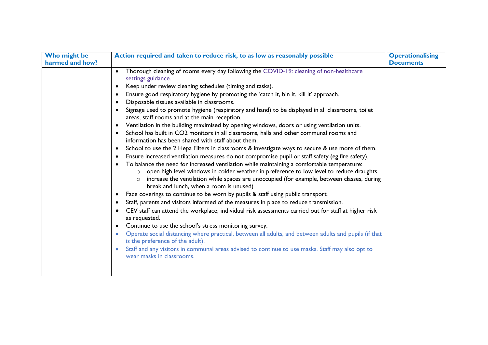| Who might be<br>harmed and how? | Action required and taken to reduce risk, to as low as reasonably possible                                                                                                                                                                                                                                                                                                                                                                                                                                                                                                                                                                                                                                                                                                                                                                                                                                                                                                                                                                                                                                                                                                                                                                                                                                                                                                                                                                                                                                                                                                                                                                                                                                                                                                                                                                                                                                                                                                                                                                       | <b>Operationalising</b><br><b>Documents</b> |
|---------------------------------|--------------------------------------------------------------------------------------------------------------------------------------------------------------------------------------------------------------------------------------------------------------------------------------------------------------------------------------------------------------------------------------------------------------------------------------------------------------------------------------------------------------------------------------------------------------------------------------------------------------------------------------------------------------------------------------------------------------------------------------------------------------------------------------------------------------------------------------------------------------------------------------------------------------------------------------------------------------------------------------------------------------------------------------------------------------------------------------------------------------------------------------------------------------------------------------------------------------------------------------------------------------------------------------------------------------------------------------------------------------------------------------------------------------------------------------------------------------------------------------------------------------------------------------------------------------------------------------------------------------------------------------------------------------------------------------------------------------------------------------------------------------------------------------------------------------------------------------------------------------------------------------------------------------------------------------------------------------------------------------------------------------------------------------------------|---------------------------------------------|
|                                 | Thorough cleaning of rooms every day following the COVID-19: cleaning of non-healthcare<br>$\bullet$<br>settings guidance.<br>Keep under review cleaning schedules (timing and tasks).<br>$\bullet$<br>Ensure good respiratory hygiene by promoting the 'catch it, bin it, kill it' approach.<br>$\bullet$<br>Disposable tissues available in classrooms.<br>Signage used to promote hygiene (respiratory and hand) to be displayed in all classrooms, toilet<br>areas, staff rooms and at the main reception.<br>Ventilation in the building maximised by opening windows, doors or using ventilation units.<br>$\bullet$<br>School has built in CO2 monitors in all classrooms, halls and other communal rooms and<br>$\bullet$<br>information has been shared with staff about them.<br>School to use the 2 Hepa Filters in classrooms & investigate ways to secure & use more of them.<br>$\bullet$<br>Ensure increased ventilation measures do not compromise pupil or staff safety (eg fire safety).<br>$\bullet$<br>To balance the need for increased ventilation while maintaining a comfortable temperature:<br>open high level windows in colder weather in preference to low level to reduce draughts<br>$\circ$<br>increase the ventilation while spaces are unoccupied (for example, between classes, during<br>break and lunch, when a room is unused)<br>Face coverings to continue to be worn by pupils & staff using public transport.<br>٠<br>Staff, parents and visitors informed of the measures in place to reduce transmission.<br>$\bullet$<br>CEV staff can attend the workplace; individual risk assessments carried out for staff at higher risk<br>as requested.<br>Continue to use the school's stress monitoring survey.<br>$\bullet$<br>Operate social distancing where practical, between all adults, and between adults and pupils (if that<br>is the preference of the adult).<br>Staff and any visitors in communal areas advised to continue to use masks. Staff may also opt to<br>wear masks in classrooms. |                                             |
|                                 |                                                                                                                                                                                                                                                                                                                                                                                                                                                                                                                                                                                                                                                                                                                                                                                                                                                                                                                                                                                                                                                                                                                                                                                                                                                                                                                                                                                                                                                                                                                                                                                                                                                                                                                                                                                                                                                                                                                                                                                                                                                  |                                             |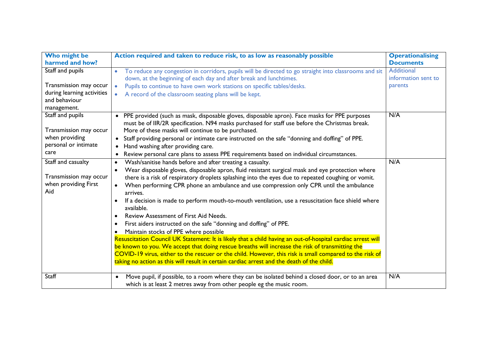| Who might be                 | Action required and taken to reduce risk, to as low as reasonably possible                                       | <b>Operationalising</b> |
|------------------------------|------------------------------------------------------------------------------------------------------------------|-------------------------|
| harmed and how?              |                                                                                                                  | <b>Documents</b>        |
| Staff and pupils             | To reduce any congestion in corridors, pupils will be directed to go straight into classrooms and sit            | <b>Additional</b>       |
|                              | down, at the beginning of each day and after break and lunchtimes.                                               | information sent to     |
| Transmission may occur       | Pupils to continue to have own work stations on specific tables/desks.                                           | parents                 |
| during learning activities   | A record of the classroom seating plans will be kept.                                                            |                         |
| and behaviour                |                                                                                                                  |                         |
| management.                  |                                                                                                                  |                         |
| Staff and pupils             | • PPE provided (such as mask, disposable gloves, disposable apron). Face masks for PPE purposes                  | N/A                     |
|                              | must be of IIR/2R specification. N94 masks purchased for staff use before the Christmas break.                   |                         |
| Transmission may occur       | More of these masks will continue to be purchased.                                                               |                         |
| when providing               | • Staff providing personal or intimate care instructed on the safe "donning and doffing" of PPE.                 |                         |
| personal or intimate<br>care | Hand washing after providing care.<br>$\bullet$                                                                  |                         |
|                              | Review personal care plans to assess PPE requirements based on individual circumstances.<br>$\bullet$            |                         |
| Staff and casualty           | Wash/sanitise hands before and after treating a casualty.<br>$\bullet$                                           | N/A                     |
|                              | Wear disposable gloves, disposable apron, fluid resistant surgical mask and eye protection where<br>$\bullet$    |                         |
| Transmission may occur       | there is a risk of respiratory droplets splashing into the eyes due to repeated coughing or vomit.               |                         |
| when providing First<br>Aid  | When performing CPR phone an ambulance and use compression only CPR until the ambulance<br>$\bullet$<br>arrives. |                         |
|                              | If a decision is made to perform mouth-to-mouth ventilation, use a resuscitation face shield where               |                         |
|                              | available.                                                                                                       |                         |
|                              | Review Assessment of First Aid Needs.                                                                            |                         |
|                              | First aiders instructed on the safe "donning and doffing" of PPE.                                                |                         |
|                              | Maintain stocks of PPE where possible                                                                            |                         |
|                              | Resuscitation Council UK Statement: It is likely that a child having an out-of-hospital cardiac arrest will      |                         |
|                              | be known to you. We accept that doing rescue breaths will increase the risk of transmitting the                  |                         |
|                              | COVID-19 virus, either to the rescuer or the child. However, this risk is small compared to the risk of          |                         |
|                              | taking no action as this will result in certain cardiac arrest and the death of the child.                       |                         |
| Staff                        | Move pupil, if possible, to a room where they can be isolated behind a closed door, or to an area                | N/A                     |
|                              | which is at least 2 metres away from other people eg the music room.                                             |                         |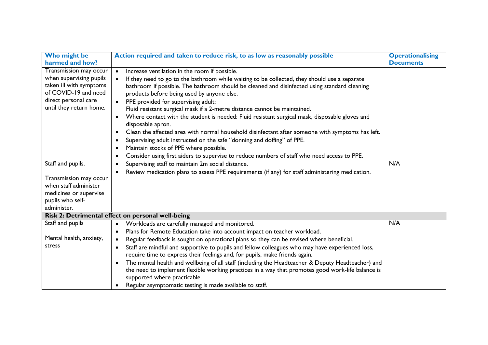| Who might be            | Action required and taken to reduce risk, to as low as reasonably possible                                                       | <b>Operationalising</b> |
|-------------------------|----------------------------------------------------------------------------------------------------------------------------------|-------------------------|
| harmed and how?         |                                                                                                                                  | <b>Documents</b>        |
| Transmission may occur  | Increase ventilation in the room if possible.<br>$\bullet$                                                                       |                         |
| when supervising pupils | If they need to go to the bathroom while waiting to be collected, they should use a separate<br>$\bullet$                        |                         |
| taken ill with symptoms | bathroom if possible. The bathroom should be cleaned and disinfected using standard cleaning                                     |                         |
| of COVID-19 and need    | products before being used by anyone else.                                                                                       |                         |
| direct personal care    | PPE provided for supervising adult:<br>$\bullet$                                                                                 |                         |
| until they return home. | Fluid resistant surgical mask if a 2-metre distance cannot be maintained.                                                        |                         |
|                         | Where contact with the student is needed: Fluid resistant surgical mask, disposable gloves and<br>$\bullet$<br>disposable apron. |                         |
|                         | Clean the affected area with normal household disinfectant after someone with symptoms has left.<br>$\bullet$                    |                         |
|                         | Supervising adult instructed on the safe "donning and doffing" of PPE.<br>$\bullet$                                              |                         |
|                         |                                                                                                                                  |                         |
|                         | Maintain stocks of PPE where possible.<br>$\bullet$                                                                              |                         |
|                         | Consider using first aiders to supervise to reduce numbers of staff who need access to PPE.                                      |                         |
| Staff and pupils.       | Supervising staff to maintain 2m social distance.<br>$\bullet$                                                                   | N/A                     |
|                         | Review medication plans to assess PPE requirements (if any) for staff administering medication.<br>$\bullet$                     |                         |
| Transmission may occur  |                                                                                                                                  |                         |
| when staff administer   |                                                                                                                                  |                         |
| medicines or supervise  |                                                                                                                                  |                         |
| pupils who self-        |                                                                                                                                  |                         |
| administer.             |                                                                                                                                  |                         |
|                         | Risk 2: Detrimental effect on personal well-being                                                                                |                         |
| Staff and pupils        | Workloads are carefully managed and monitored.<br>$\bullet$                                                                      | N/A                     |
|                         | Plans for Remote Education take into account impact on teacher workload.<br>$\bullet$                                            |                         |
| Mental health, anxiety, | Regular feedback is sought on operational plans so they can be revised where beneficial.<br>$\bullet$                            |                         |
| stress                  | Staff are mindful and supportive to pupils and fellow colleagues who may have experienced loss,<br>$\bullet$                     |                         |
|                         | require time to express their feelings and, for pupils, make friends again.                                                      |                         |
|                         | The mental health and wellbeing of all staff (including the Headteacher & Deputy Headteacher) and<br>$\bullet$                   |                         |
|                         | the need to implement flexible working practices in a way that promotes good work-life balance is                                |                         |
|                         | supported where practicable.                                                                                                     |                         |
|                         | Regular asymptomatic testing is made available to staff.<br>$\bullet$                                                            |                         |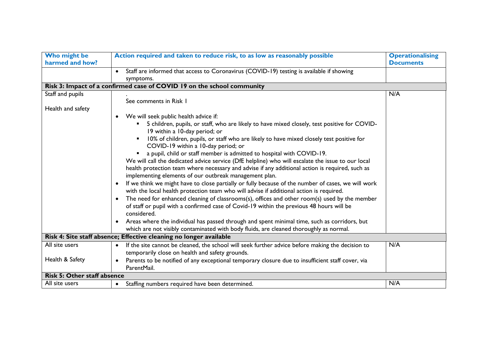| Who might be<br>harmed and how?    | Action required and taken to reduce risk, to as low as reasonably possible                                                                                                                                                                                                                                                                                                                                                                                                                                                                                                                                                                           | <b>Operationalising</b><br><b>Documents</b> |
|------------------------------------|------------------------------------------------------------------------------------------------------------------------------------------------------------------------------------------------------------------------------------------------------------------------------------------------------------------------------------------------------------------------------------------------------------------------------------------------------------------------------------------------------------------------------------------------------------------------------------------------------------------------------------------------------|---------------------------------------------|
|                                    | • Staff are informed that access to Coronavirus (COVID-19) testing is available if showing<br>symptoms.                                                                                                                                                                                                                                                                                                                                                                                                                                                                                                                                              |                                             |
|                                    | Risk 3: Impact of a confirmed case of COVID 19 on the school community                                                                                                                                                                                                                                                                                                                                                                                                                                                                                                                                                                               |                                             |
| Staff and pupils                   | See comments in Risk 1                                                                                                                                                                                                                                                                                                                                                                                                                                                                                                                                                                                                                               | N/A                                         |
| Health and safety                  |                                                                                                                                                                                                                                                                                                                                                                                                                                                                                                                                                                                                                                                      |                                             |
|                                    | We will seek public health advice if:<br>5 children, pupils, or staff, who are likely to have mixed closely, test positive for COVID-<br>19 within a 10-day period; or<br>10% of children, pupils, or staff who are likely to have mixed closely test positive for<br>COVID-19 within a 10-day period; or<br>a pupil, child or staff member is admitted to hospital with COVID-19.<br>We will call the dedicated advice service (DfE helpline) who will escalate the issue to our local<br>health protection team where necessary and advise if any additional action is required, such as<br>implementing elements of our outbreak management plan. |                                             |
|                                    | If we think we might have to close partially or fully because of the number of cases, we will work<br>with the local health protection team who will advise if additional action is required.                                                                                                                                                                                                                                                                                                                                                                                                                                                        |                                             |
|                                    | The need for enhanced cleaning of classrooms(s), offices and other room(s) used by the member<br>$\bullet$<br>of staff or pupil with a confirmed case of Covid-19 within the previous 48 hours will be<br>considered.                                                                                                                                                                                                                                                                                                                                                                                                                                |                                             |
|                                    | Areas where the individual has passed through and spent minimal time, such as corridors, but<br>$\bullet$<br>which are not visibly contaminated with body fluids, are cleaned thoroughly as normal.                                                                                                                                                                                                                                                                                                                                                                                                                                                  |                                             |
|                                    | Risk 4: Site staff absence; Effective cleaning no longer available                                                                                                                                                                                                                                                                                                                                                                                                                                                                                                                                                                                   |                                             |
| All site users                     | If the site cannot be cleaned, the school will seek further advice before making the decision to<br>temporarily close on health and safety grounds.                                                                                                                                                                                                                                                                                                                                                                                                                                                                                                  | N/A                                         |
| Health & Safety                    | Parents to be notified of any exceptional temporary closure due to insufficient staff cover, via<br>ParentMail.                                                                                                                                                                                                                                                                                                                                                                                                                                                                                                                                      |                                             |
| <b>Risk 5: Other staff absence</b> |                                                                                                                                                                                                                                                                                                                                                                                                                                                                                                                                                                                                                                                      |                                             |
| All site users                     | Staffing numbers required have been determined.<br>$\bullet$                                                                                                                                                                                                                                                                                                                                                                                                                                                                                                                                                                                         | N/A                                         |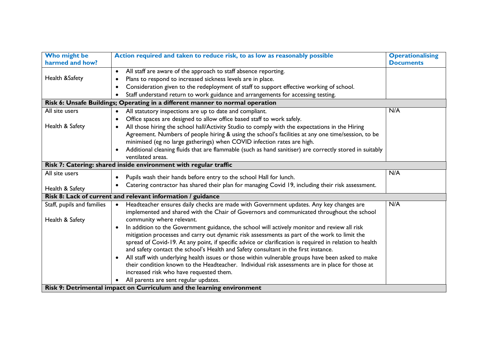| Who might be               | Action required and taken to reduce risk, to as low as reasonably possible                              | <b>Operationalising</b> |
|----------------------------|---------------------------------------------------------------------------------------------------------|-------------------------|
| harmed and how?            |                                                                                                         | <b>Documents</b>        |
|                            | All staff are aware of the approach to staff absence reporting.                                         |                         |
| Health &Safety             | Plans to respond to increased sickness levels are in place.<br>$\bullet$                                |                         |
|                            | Consideration given to the redeployment of staff to support effective working of school.                |                         |
|                            | Staff understand return to work guidance and arrangements for accessing testing.<br>$\bullet$           |                         |
|                            | Risk 6: Unsafe Buildings; Operating in a different manner to normal operation                           |                         |
| All site users             | All statutory inspections are up to date and compliant.<br>$\bullet$                                    | N/A                     |
|                            | Office spaces are designed to allow office based staff to work safely.                                  |                         |
| Health & Safety            | All those hiring the school hall/Activity Studio to comply with the expectations in the Hiring          |                         |
|                            | Agreement. Numbers of people hiring & using the school's facilities at any one time/session, to be      |                         |
|                            | minimised (eg no large gatherings) when COVID infection rates are high.                                 |                         |
|                            | Additional cleaning fluids that are flammable (such as hand sanitiser) are correctly stored in suitably |                         |
|                            | ventilated areas.                                                                                       |                         |
|                            | Risk 7: Catering: shared inside environment with regular traffic                                        |                         |
| All site users             | Pupils wash their hands before entry to the school Hall for lunch.                                      | N/A                     |
|                            | Catering contractor has shared their plan for managing Covid 19, including their risk assessment.       |                         |
| Health & Safety            |                                                                                                         |                         |
|                            | Risk 8: Lack of current and relevant information / guidance                                             |                         |
| Staff, pupils and families | Headteacher ensures daily checks are made with Government updates. Any key changes are<br>$\bullet$     | N/A                     |
|                            | implemented and shared with the Chair of Governors and communicated throughout the school               |                         |
| Health & Safety            | community where relevant.                                                                               |                         |
|                            | In addition to the Government guidance, the school will actively monitor and review all risk            |                         |
|                            | mitigation processes and carry out dynamic risk assessments as part of the work to limit the            |                         |
|                            | spread of Covid-19. At any point, if specific advice or clarification is required in relation to health |                         |
|                            | and safety contact the school's Health and Safety consultant in the first instance.                     |                         |
|                            | All staff with underlying health issues or those within vulnerable groups have been asked to make       |                         |
|                            | their condition known to the Headteacher. Individual risk assessments are in place for those at         |                         |
|                            | increased risk who have requested them.                                                                 |                         |
|                            | All parents are sent regular updates.                                                                   |                         |
|                            | Risk 9: Detrimental impact on Curriculum and the learning environment                                   |                         |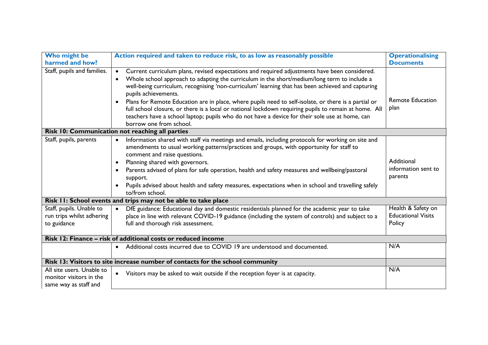| Who might be<br>harmed and how? | Action required and taken to reduce risk, to as low as reasonably possible                                                | <b>Operationalising</b><br><b>Documents</b> |
|---------------------------------|---------------------------------------------------------------------------------------------------------------------------|---------------------------------------------|
| Staff, pupils and families.     | Current curriculum plans, revised expectations and required adjustments have been considered.<br>$\bullet$                |                                             |
|                                 | Whole school approach to adapting the curriculum in the short/medium/long term to include a<br>$\bullet$                  |                                             |
|                                 | well-being curriculum, recognising 'non-curriculum' learning that has been achieved and capturing                         |                                             |
|                                 | pupils achievements.                                                                                                      |                                             |
|                                 | Plans for Remote Education are in place, where pupils need to self-isolate, or there is a partial or                      | <b>Remote Education</b><br>plan             |
|                                 | full school closure, or there is a local or national lockdown requiring pupils to remain at home. All                     |                                             |
|                                 | teachers have a school laptop; pupils who do not have a device for their sole use at home, can<br>borrow one from school. |                                             |
|                                 | Risk 10: Communication not reaching all parties                                                                           |                                             |
| Staff, pupils, parents          | Information shared with staff via meetings and emails, including protocols for working on site and<br>$\bullet$           |                                             |
|                                 | amendments to usual working patterns/practices and groups, with opportunity for staff to                                  |                                             |
|                                 | comment and raise questions.                                                                                              | Additional                                  |
|                                 | Planning shared with governors.<br>$\bullet$                                                                              | information sent to                         |
|                                 | Parents advised of plans for safe operation, health and safety measures and wellbeing/pastoral<br>support.                | parents                                     |
|                                 | Pupils advised about health and safety measures, expectations when in school and travelling safely                        |                                             |
|                                 | to/from school.                                                                                                           |                                             |
|                                 | Risk II: School events and trips may not be able to take place                                                            |                                             |
| Staff, pupils. Unable to        | DfE guidance: Educational day and domestic residentials planned for the academic year to take<br>$\bullet$                | Health & Safety on                          |
| run trips whilst adhering       | place in line with relevant COVID-19 guidance (including the system of controls) and subject to a                         | <b>Educational Visits</b>                   |
| to guidance                     | full and thorough risk assessment.                                                                                        | Policy                                      |
|                                 | Risk 12: Finance - risk of additional costs or reduced income                                                             |                                             |
|                                 | Additional costs incurred due to COVID 19 are understood and documented.<br>$\bullet$                                     | N/A                                         |
|                                 |                                                                                                                           |                                             |
|                                 | Risk 13: Visitors to site increase number of contacts for the school community                                            |                                             |
| All site users. Unable to       | Visitors may be asked to wait outside if the reception foyer is at capacity.                                              | N/A                                         |
| monitor visitors in the         |                                                                                                                           |                                             |
| same way as staff and           |                                                                                                                           |                                             |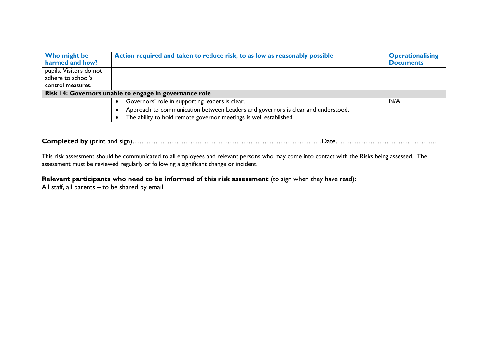| Who might be                                           | Action required and taken to reduce risk, to as low as reasonably possible       | <b>Operationalising</b> |  |
|--------------------------------------------------------|----------------------------------------------------------------------------------|-------------------------|--|
| harmed and how?                                        |                                                                                  | <b>Documents</b>        |  |
| pupils. Visitors do not                                |                                                                                  |                         |  |
| adhere to school's                                     |                                                                                  |                         |  |
| control measures.                                      |                                                                                  |                         |  |
| Risk 14: Governors unable to engage in governance role |                                                                                  |                         |  |
|                                                        | Governors' role in supporting leaders is clear.                                  | N/A                     |  |
|                                                        | Approach to communication between Leaders and governors is clear and understood. |                         |  |
|                                                        | The ability to hold remote governor meetings is well established.                |                         |  |

**Completed by** (print and sign)……………………………………………………………………….Date……………………………………..

This risk assessment should be communicated to all employees and relevant persons who may come into contact with the Risks being assessed. The assessment must be reviewed regularly or following a significant change or incident.

## **Relevant participants who need to be informed of this risk assessment** (to sign when they have read):

All staff, all parents – to be shared by email.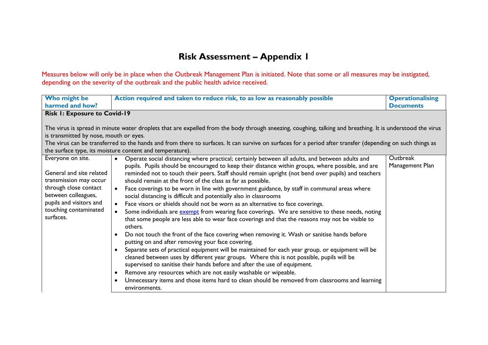## **Risk Assessment – Appendix 1**

Measures below will only be in place when the Outbreak Management Plan is initiated. Note that some or all measures may be instigated, depending on the severity of the outbreak and the public health advice received.

| Who might be                                                                                                                                                        | Action required and taken to reduce risk, to as low as reasonably possible                                                                                                                                                                                                                                                                                                                                                                                                                                                                                                                                                                                                                                                                                                                                                                                                                                                                                                                                                                                                                                                                                                                                                                                                                                                                                                               | <b>Operationalising</b> |
|---------------------------------------------------------------------------------------------------------------------------------------------------------------------|------------------------------------------------------------------------------------------------------------------------------------------------------------------------------------------------------------------------------------------------------------------------------------------------------------------------------------------------------------------------------------------------------------------------------------------------------------------------------------------------------------------------------------------------------------------------------------------------------------------------------------------------------------------------------------------------------------------------------------------------------------------------------------------------------------------------------------------------------------------------------------------------------------------------------------------------------------------------------------------------------------------------------------------------------------------------------------------------------------------------------------------------------------------------------------------------------------------------------------------------------------------------------------------------------------------------------------------------------------------------------------------|-------------------------|
| harmed and how?                                                                                                                                                     |                                                                                                                                                                                                                                                                                                                                                                                                                                                                                                                                                                                                                                                                                                                                                                                                                                                                                                                                                                                                                                                                                                                                                                                                                                                                                                                                                                                          | <b>Documents</b>        |
| <b>Risk I: Exposure to Covid-19</b>                                                                                                                                 |                                                                                                                                                                                                                                                                                                                                                                                                                                                                                                                                                                                                                                                                                                                                                                                                                                                                                                                                                                                                                                                                                                                                                                                                                                                                                                                                                                                          |                         |
| is transmitted by nose, mouth or eyes.                                                                                                                              | The virus is spread in minute water droplets that are expelled from the body through sneezing, coughing, talking and breathing. It is understood the virus<br>The virus can be transferred to the hands and from there to surfaces. It can survive on surfaces for a period after transfer (depending on such things as<br>the surface type, its moisture content and temperature).                                                                                                                                                                                                                                                                                                                                                                                                                                                                                                                                                                                                                                                                                                                                                                                                                                                                                                                                                                                                      |                         |
| Everyone on site.                                                                                                                                                   | Operate social distancing where practical; certainly between all adults, and between adults and<br>$\bullet$                                                                                                                                                                                                                                                                                                                                                                                                                                                                                                                                                                                                                                                                                                                                                                                                                                                                                                                                                                                                                                                                                                                                                                                                                                                                             | <b>Outbreak</b>         |
| General and site related<br>transmission may occur<br>through close contact<br>between colleagues,<br>pupils and visitors and<br>touching contaminated<br>surfaces. | pupils. Pupils should be encouraged to keep their distance within groups, where possible, and are<br>reminded not to touch their peers. Staff should remain upright (not bend over pupils) and teachers<br>should remain at the front of the class as far as possible.<br>Face coverings to be worn in line with government guidance, by staff in communal areas where<br>social distancing is difficult and potentially also in classrooms<br>Face visors or shields should not be worn as an alternative to face coverings.<br>$\bullet$<br>Some individuals are exempt from wearing face coverings. We are sensitive to these needs, noting<br>that some people are less able to wear face coverings and that the reasons may not be visible to<br>others.<br>Do not touch the front of the face covering when removing it. Wash or sanitise hands before<br>putting on and after removing your face covering.<br>• Separate sets of practical equipment will be maintained for each year group, or equipment will be<br>cleaned between uses by different year groups. Where this is not possible, pupils will be<br>supervised to sanitise their hands before and after the use of equipment.<br>Remove any resources which are not easily washable or wipeable.<br>Unnecessary items and those items hard to clean should be removed from classrooms and learning<br>environments. | Management Plan         |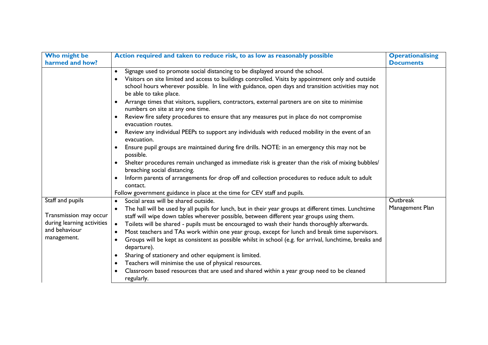| Who might be<br>harmed and how?                                                                          | Action required and taken to reduce risk, to as low as reasonably possible                                                                                                                                                                                                                                                                                                                                                                                                                                                                                                                                                                                                                                                                                                                                                                                                                                                                                                                                                                                                                                                                                           | <b>Operationalising</b><br><b>Documents</b> |
|----------------------------------------------------------------------------------------------------------|----------------------------------------------------------------------------------------------------------------------------------------------------------------------------------------------------------------------------------------------------------------------------------------------------------------------------------------------------------------------------------------------------------------------------------------------------------------------------------------------------------------------------------------------------------------------------------------------------------------------------------------------------------------------------------------------------------------------------------------------------------------------------------------------------------------------------------------------------------------------------------------------------------------------------------------------------------------------------------------------------------------------------------------------------------------------------------------------------------------------------------------------------------------------|---------------------------------------------|
|                                                                                                          | Signage used to promote social distancing to be displayed around the school.<br>$\bullet$<br>Visitors on site limited and access to buildings controlled. Visits by appointment only and outside<br>school hours wherever possible. In line with guidance, open days and transition activities may not<br>be able to take place.<br>Arrange times that visitors, suppliers, contractors, external partners are on site to minimise<br>$\bullet$<br>numbers on site at any one time.<br>Review fire safety procedures to ensure that any measures put in place do not compromise<br>evacuation routes.<br>Review any individual PEEPs to support any individuals with reduced mobility in the event of an<br>evacuation.<br>Ensure pupil groups are maintained during fire drills. NOTE: in an emergency this may not be<br>possible.<br>Shelter procedures remain unchanged as immediate risk is greater than the risk of mixing bubbles/<br>breaching social distancing.<br>Inform parents of arrangements for drop off and collection procedures to reduce adult to adult<br>contact.<br>Follow government guidance in place at the time for CEV staff and pupils. |                                             |
| Staff and pupils<br>Transmission may occur<br>during learning activities<br>and behaviour<br>management. | Social areas will be shared outside.<br>$\bullet$<br>The hall will be used by all pupils for lunch, but in their year groups at different times. Lunchtime<br>staff will wipe down tables wherever possible, between different year groups using them.<br>Toilets will be shared - pupils must be encouraged to wash their hands thoroughly afterwards.<br>Most teachers and TAs work within one year group, except for lunch and break time supervisors.<br>$\bullet$<br>Groups will be kept as consistent as possible whilst in school (e.g. for arrival, lunchtime, breaks and<br>$\bullet$<br>departure).<br>Sharing of stationery and other equipment is limited.<br>$\bullet$<br>Teachers will minimise the use of physical resources.<br>$\bullet$<br>Classroom based resources that are used and shared within a year group need to be cleaned<br>regularly.                                                                                                                                                                                                                                                                                                 | <b>Outbreak</b><br>Management Plan          |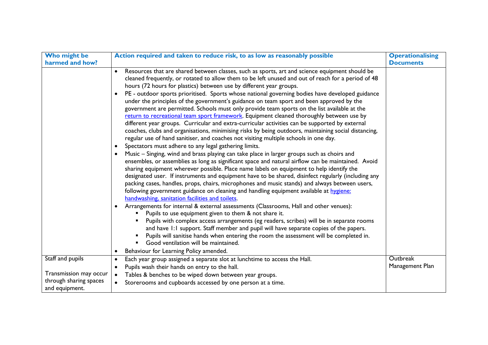| Who might be           | Action required and taken to reduce risk, to as low as reasonably possible                                                                                                                                                                                                                                                                                                                                                                                                                                                                                                                                                                                                                                                                                                                                                                                                                                                                                                                                                                                                                                                                                                                                                                                                                                                                                                                                                                                                                                                                                                                                                                                                                                                     | <b>Operationalising</b> |
|------------------------|--------------------------------------------------------------------------------------------------------------------------------------------------------------------------------------------------------------------------------------------------------------------------------------------------------------------------------------------------------------------------------------------------------------------------------------------------------------------------------------------------------------------------------------------------------------------------------------------------------------------------------------------------------------------------------------------------------------------------------------------------------------------------------------------------------------------------------------------------------------------------------------------------------------------------------------------------------------------------------------------------------------------------------------------------------------------------------------------------------------------------------------------------------------------------------------------------------------------------------------------------------------------------------------------------------------------------------------------------------------------------------------------------------------------------------------------------------------------------------------------------------------------------------------------------------------------------------------------------------------------------------------------------------------------------------------------------------------------------------|-------------------------|
| harmed and how?        |                                                                                                                                                                                                                                                                                                                                                                                                                                                                                                                                                                                                                                                                                                                                                                                                                                                                                                                                                                                                                                                                                                                                                                                                                                                                                                                                                                                                                                                                                                                                                                                                                                                                                                                                | <b>Documents</b>        |
|                        | Resources that are shared between classes, such as sports, art and science equipment should be<br>$\bullet$<br>cleaned frequently, or rotated to allow them to be left unused and out of reach for a period of 48<br>hours (72 hours for plastics) between use by different year groups.<br>PE - outdoor sports prioritised. Sports whose national governing bodies have developed guidance<br>under the principles of the government's guidance on team sport and been approved by the<br>government are permitted. Schools must only provide team sports on the list available at the<br>return to recreational team sport framework. Equipment cleaned thoroughly between use by<br>different year groups. Curricular and extra-curricular activities can be supported by external<br>coaches, clubs and organisations, minimising risks by being outdoors, maintaining social distancing,<br>regular use of hand sanitiser, and coaches not visiting multiple schools in one day.<br>Spectators must adhere to any legal gathering limits.<br>$\bullet$<br>Music - Singing, wind and brass playing can take place in larger groups such as choirs and<br>$\bullet$<br>ensembles, or assemblies as long as significant space and natural airflow can be maintained. Avoid<br>sharing equipment wherever possible. Place name labels on equipment to help identify the<br>designated user. If instruments and equipment have to be shared, disinfect regularly (including any<br>packing cases, handles, props, chairs, microphones and music stands) and always between users,<br>following government guidance on cleaning and handling equipment available at hygiene:<br>handwashing, sanitation facilities and toilets. |                         |
|                        | Arrangements for internal & external assessments (Classrooms, Hall and other venues):<br>Pupils to use equipment given to them & not share it.<br>Pupils with complex access arrangements (eg readers, scribes) will be in separate rooms<br>and have 1:1 support. Staff member and pupil will have separate copies of the papers.<br>Pupils will sanitise hands when entering the room the assessment will be completed in.<br>Good ventilation will be maintained.<br>Behaviour for Learning Policy amended.<br>$\bullet$                                                                                                                                                                                                                                                                                                                                                                                                                                                                                                                                                                                                                                                                                                                                                                                                                                                                                                                                                                                                                                                                                                                                                                                                    |                         |
| Staff and pupils       | Each year group assigned a separate slot at lunchtime to access the Hall.<br>$\bullet$                                                                                                                                                                                                                                                                                                                                                                                                                                                                                                                                                                                                                                                                                                                                                                                                                                                                                                                                                                                                                                                                                                                                                                                                                                                                                                                                                                                                                                                                                                                                                                                                                                         | Outbreak                |
|                        | Pupils wash their hands on entry to the hall.<br>$\bullet$                                                                                                                                                                                                                                                                                                                                                                                                                                                                                                                                                                                                                                                                                                                                                                                                                                                                                                                                                                                                                                                                                                                                                                                                                                                                                                                                                                                                                                                                                                                                                                                                                                                                     | Management Plan         |
| Transmission may occur | Tables & benches to be wiped down between year groups.                                                                                                                                                                                                                                                                                                                                                                                                                                                                                                                                                                                                                                                                                                                                                                                                                                                                                                                                                                                                                                                                                                                                                                                                                                                                                                                                                                                                                                                                                                                                                                                                                                                                         |                         |
| through sharing spaces | Storerooms and cupboards accessed by one person at a time.                                                                                                                                                                                                                                                                                                                                                                                                                                                                                                                                                                                                                                                                                                                                                                                                                                                                                                                                                                                                                                                                                                                                                                                                                                                                                                                                                                                                                                                                                                                                                                                                                                                                     |                         |
| and equipment.         |                                                                                                                                                                                                                                                                                                                                                                                                                                                                                                                                                                                                                                                                                                                                                                                                                                                                                                                                                                                                                                                                                                                                                                                                                                                                                                                                                                                                                                                                                                                                                                                                                                                                                                                                |                         |